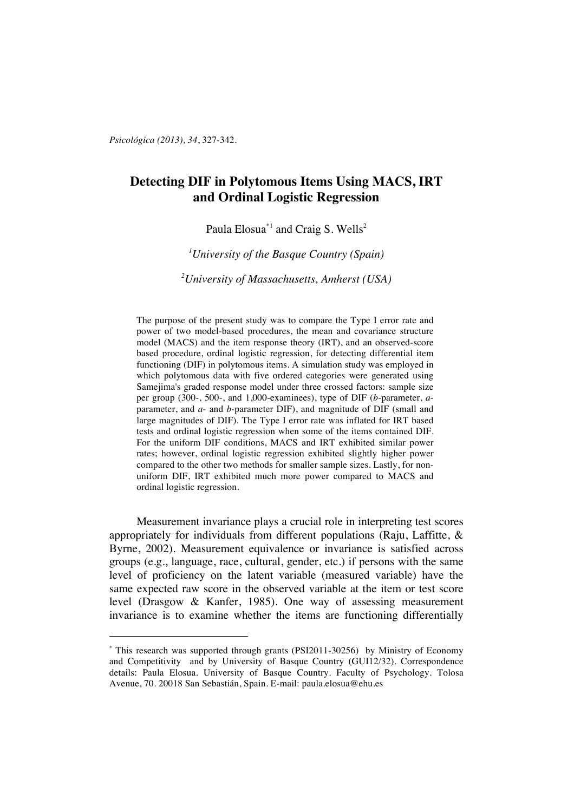*Psicológica (2013), 34*, 327-342.

 $\overline{a}$ 

# **Detecting DIF in Polytomous Items Using MACS, IRT and Ordinal Logistic Regression**

Paula Elosua<sup>\*1</sup> and Craig S. Wells<sup>2</sup>

*1 University of the Basque Country (Spain)*

*2 University of Massachusetts, Amherst (USA)*

The purpose of the present study was to compare the Type I error rate and power of two model-based procedures, the mean and covariance structure model (MACS) and the item response theory (IRT), and an observed-score based procedure, ordinal logistic regression, for detecting differential item functioning (DIF) in polytomous items. A simulation study was employed in which polytomous data with five ordered categories were generated using Samejima's graded response model under three crossed factors: sample size per group (300-, 500-, and 1,000-examinees), type of DIF (*b*-parameter, *a*parameter, and *a*- and *b*-parameter DIF), and magnitude of DIF (small and large magnitudes of DIF). The Type I error rate was inflated for IRT based tests and ordinal logistic regression when some of the items contained DIF. For the uniform DIF conditions, MACS and IRT exhibited similar power rates; however, ordinal logistic regression exhibited slightly higher power compared to the other two methods for smaller sample sizes. Lastly, for nonuniform DIF, IRT exhibited much more power compared to MACS and ordinal logistic regression.

Measurement invariance plays a crucial role in interpreting test scores appropriately for individuals from different populations (Raju, Laffitte, & Byrne, 2002). Measurement equivalence or invariance is satisfied across groups (e.g., language, race, cultural, gender, etc.) if persons with the same level of proficiency on the latent variable (measured variable) have the same expected raw score in the observed variable at the item or test score level (Drasgow & Kanfer, 1985). One way of assessing measurement invariance is to examine whether the items are functioning differentially

<sup>\*</sup> This research was supported through grants (PSI2011-30256) by Ministry of Economy and Competitivity and by University of Basque Country (GUI12/32). Correspondence details: Paula Elosua. University of Basque Country. Faculty of Psychology. Tolosa Avenue, 70. 20018 San Sebastián, Spain. E-mail: paula.elosua@ehu.es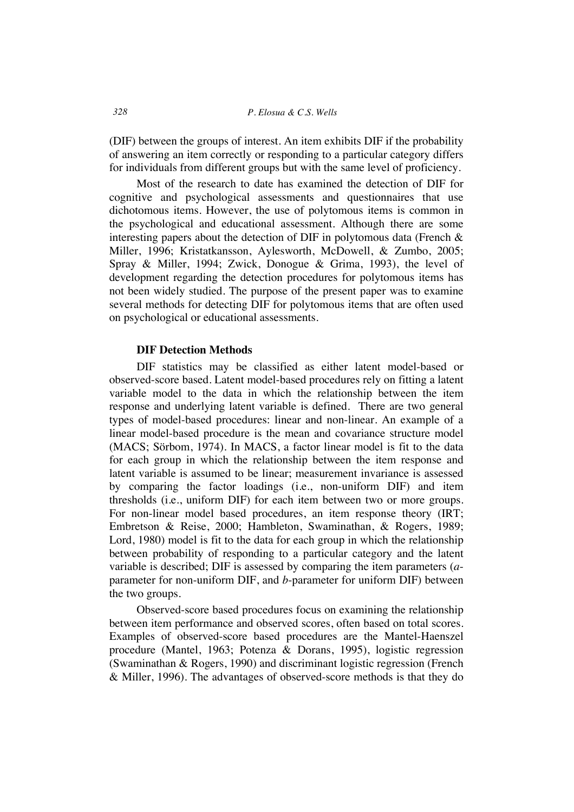(DIF) between the groups of interest. An item exhibits DIF if the probability of answering an item correctly or responding to a particular category differs for individuals from different groups but with the same level of proficiency.

Most of the research to date has examined the detection of DIF for cognitive and psychological assessments and questionnaires that use dichotomous items. However, the use of polytomous items is common in the psychological and educational assessment. Although there are some interesting papers about the detection of DIF in polytomous data (French  $\&$ Miller, 1996; Kristatkansson, Aylesworth, McDowell, & Zumbo, 2005; Spray & Miller, 1994; Zwick, Donogue & Grima, 1993), the level of development regarding the detection procedures for polytomous items has not been widely studied. The purpose of the present paper was to examine several methods for detecting DIF for polytomous items that are often used on psychological or educational assessments.

#### **DIF Detection Methods**

DIF statistics may be classified as either latent model-based or observed-score based. Latent model-based procedures rely on fitting a latent variable model to the data in which the relationship between the item response and underlying latent variable is defined. There are two general types of model-based procedures: linear and non-linear. An example of a linear model-based procedure is the mean and covariance structure model (MACS; Sörbom, 1974). In MACS, a factor linear model is fit to the data for each group in which the relationship between the item response and latent variable is assumed to be linear; measurement invariance is assessed by comparing the factor loadings (i.e., non-uniform DIF) and item thresholds (i.e., uniform DIF) for each item between two or more groups. For non-linear model based procedures, an item response theory (IRT; Embretson & Reise, 2000; Hambleton, Swaminathan, & Rogers, 1989; Lord, 1980) model is fit to the data for each group in which the relationship between probability of responding to a particular category and the latent variable is described; DIF is assessed by comparing the item parameters (*a*parameter for non-uniform DIF, and *b*-parameter for uniform DIF) between the two groups.

Observed-score based procedures focus on examining the relationship between item performance and observed scores, often based on total scores. Examples of observed-score based procedures are the Mantel-Haenszel procedure (Mantel, 1963; Potenza & Dorans, 1995), logistic regression (Swaminathan & Rogers, 1990) and discriminant logistic regression (French & Miller, 1996). The advantages of observed-score methods is that they do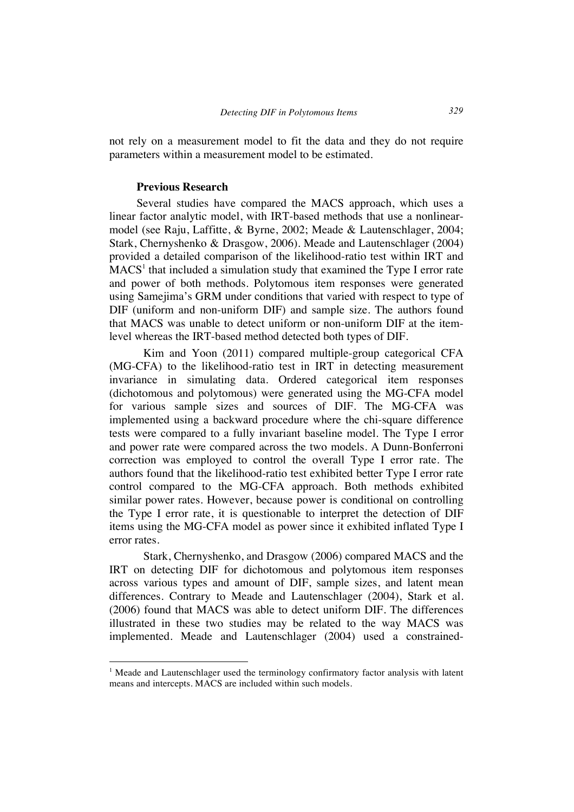not rely on a measurement model to fit the data and they do not require parameters within a measurement model to be estimated.

#### **Previous Research**

 $\overline{a}$ 

Several studies have compared the MACS approach, which uses a linear factor analytic model, with IRT-based methods that use a nonlinearmodel (see Raju, Laffitte, & Byrne, 2002; Meade & Lautenschlager, 2004; Stark, Chernyshenko & Drasgow, 2006). Meade and Lautenschlager (2004) provided a detailed comparison of the likelihood-ratio test within IRT and  $MACS<sup>1</sup>$  that included a simulation study that examined the Type I error rate and power of both methods. Polytomous item responses were generated using Samejima's GRM under conditions that varied with respect to type of DIF (uniform and non-uniform DIF) and sample size. The authors found that MACS was unable to detect uniform or non-uniform DIF at the itemlevel whereas the IRT-based method detected both types of DIF.

Kim and Yoon (2011) compared multiple-group categorical CFA (MG-CFA) to the likelihood-ratio test in IRT in detecting measurement invariance in simulating data. Ordered categorical item responses (dichotomous and polytomous) were generated using the MG-CFA model for various sample sizes and sources of DIF. The MG-CFA was implemented using a backward procedure where the chi-square difference tests were compared to a fully invariant baseline model. The Type I error and power rate were compared across the two models. A Dunn-Bonferroni correction was employed to control the overall Type I error rate. The authors found that the likelihood-ratio test exhibited better Type I error rate control compared to the MG-CFA approach. Both methods exhibited similar power rates. However, because power is conditional on controlling the Type I error rate, it is questionable to interpret the detection of DIF items using the MG-CFA model as power since it exhibited inflated Type I error rates.

Stark, Chernyshenko, and Drasgow (2006) compared MACS and the IRT on detecting DIF for dichotomous and polytomous item responses across various types and amount of DIF, sample sizes, and latent mean differences. Contrary to Meade and Lautenschlager (2004), Stark et al. (2006) found that MACS was able to detect uniform DIF. The differences illustrated in these two studies may be related to the way MACS was implemented. Meade and Lautenschlager (2004) used a constrained-

<sup>&</sup>lt;sup>1</sup> Meade and Lautenschlager used the terminology confirmatory factor analysis with latent means and intercepts. MACS are included within such models.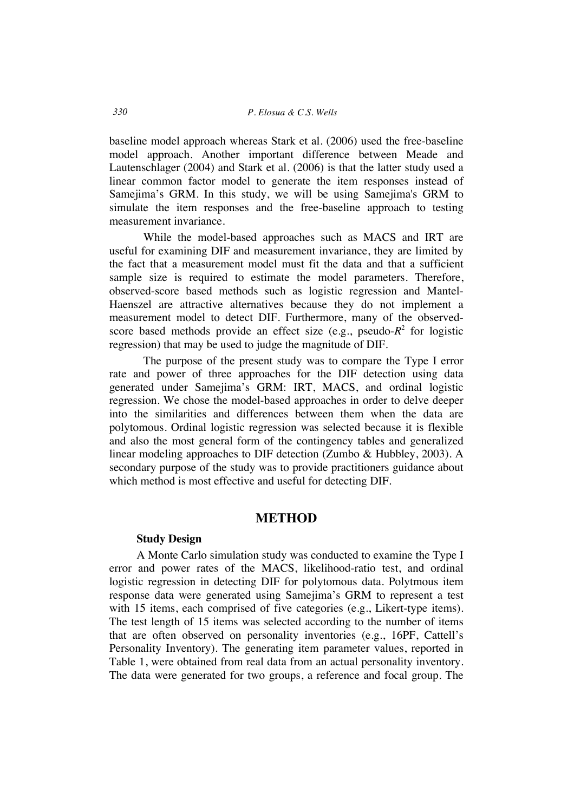baseline model approach whereas Stark et al. (2006) used the free-baseline model approach. Another important difference between Meade and Lautenschlager (2004) and Stark et al. (2006) is that the latter study used a linear common factor model to generate the item responses instead of Samejima's GRM. In this study, we will be using Samejima's GRM to simulate the item responses and the free-baseline approach to testing measurement invariance.

While the model-based approaches such as MACS and IRT are useful for examining DIF and measurement invariance, they are limited by the fact that a measurement model must fit the data and that a sufficient sample size is required to estimate the model parameters. Therefore, observed-score based methods such as logistic regression and Mantel-Haenszel are attractive alternatives because they do not implement a measurement model to detect DIF. Furthermore, many of the observedscore based methods provide an effect size (e.g., pseudo- $R^2$  for logistic regression) that may be used to judge the magnitude of DIF.

The purpose of the present study was to compare the Type I error rate and power of three approaches for the DIF detection using data generated under Samejima's GRM: IRT, MACS, and ordinal logistic regression. We chose the model-based approaches in order to delve deeper into the similarities and differences between them when the data are polytomous. Ordinal logistic regression was selected because it is flexible and also the most general form of the contingency tables and generalized linear modeling approaches to DIF detection (Zumbo & Hubbley, 2003). A secondary purpose of the study was to provide practitioners guidance about which method is most effective and useful for detecting DIF.

## **METHOD**

#### **Study Design**

A Monte Carlo simulation study was conducted to examine the Type I error and power rates of the MACS, likelihood-ratio test, and ordinal logistic regression in detecting DIF for polytomous data. Polytmous item response data were generated using Samejima's GRM to represent a test with 15 items, each comprised of five categories (e.g., Likert-type items). The test length of 15 items was selected according to the number of items that are often observed on personality inventories (e.g., 16PF, Cattell's Personality Inventory). The generating item parameter values, reported in Table 1, were obtained from real data from an actual personality inventory. The data were generated for two groups, a reference and focal group. The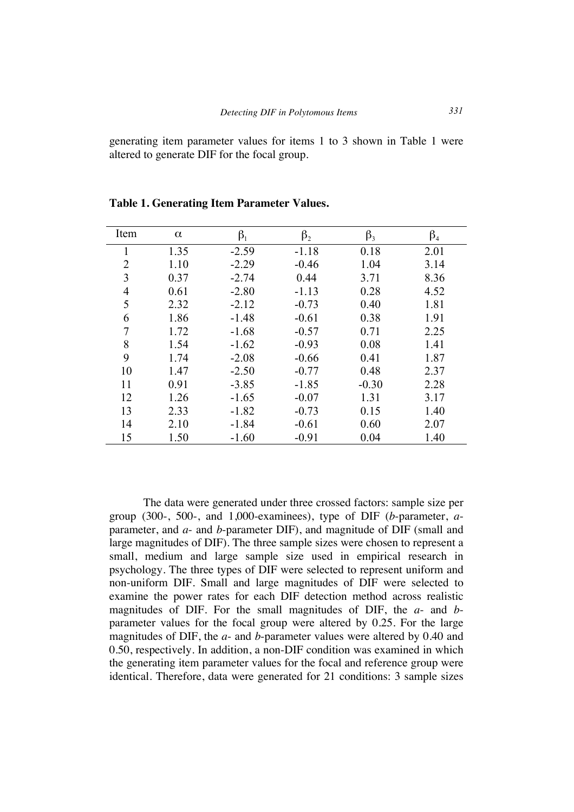generating item parameter values for items 1 to 3 shown in Table 1 were altered to generate DIF for the focal group.

| Item           | $\alpha$ | $\beta_1$ | $\beta_2$ | $\beta_3$ | $\beta_{4}$ |
|----------------|----------|-----------|-----------|-----------|-------------|
|                | 1.35     | $-2.59$   | $-1.18$   | 0.18      | 2.01        |
| 2              | 1.10     | $-2.29$   | $-0.46$   | 1.04      | 3.14        |
| 3              | 0.37     | $-2.74$   | 0.44      | 3.71      | 8.36        |
| $\overline{4}$ | 0.61     | $-2.80$   | $-1.13$   | 0.28      | 4.52        |
| 5              | 2.32     | $-2.12$   | $-0.73$   | 0.40      | 1.81        |
| 6              | 1.86     | $-1.48$   | $-0.61$   | 0.38      | 1.91        |
| 7              | 1.72     | $-1.68$   | $-0.57$   | 0.71      | 2.25        |
| 8              | 1.54     | $-1.62$   | $-0.93$   | 0.08      | 1.41        |
| 9              | 1.74     | $-2.08$   | $-0.66$   | 0.41      | 1.87        |
| 10             | 1.47     | $-2.50$   | $-0.77$   | 0.48      | 2.37        |
| 11             | 0.91     | $-3.85$   | $-1.85$   | $-0.30$   | 2.28        |
| 12             | 1.26     | $-1.65$   | $-0.07$   | 1.31      | 3.17        |
| 13             | 2.33     | $-1.82$   | $-0.73$   | 0.15      | 1.40        |
| 14             | 2.10     | $-1.84$   | $-0.61$   | 0.60      | 2.07        |
| 15             | 1.50     | $-1.60$   | $-0.91$   | 0.04      | 1.40        |

**Table 1. Generating Item Parameter Values.**

The data were generated under three crossed factors: sample size per group (300-, 500-, and 1,000-examinees), type of DIF (*b*-parameter, *a*parameter, and *a*- and *b*-parameter DIF), and magnitude of DIF (small and large magnitudes of DIF). The three sample sizes were chosen to represent a small, medium and large sample size used in empirical research in psychology. The three types of DIF were selected to represent uniform and non-uniform DIF. Small and large magnitudes of DIF were selected to examine the power rates for each DIF detection method across realistic magnitudes of DIF. For the small magnitudes of DIF, the *a*- and *b*parameter values for the focal group were altered by 0.25. For the large magnitudes of DIF, the *a*- and *b*-parameter values were altered by 0.40 and 0.50, respectively. In addition, a non-DIF condition was examined in which the generating item parameter values for the focal and reference group were identical. Therefore, data were generated for 21 conditions: 3 sample sizes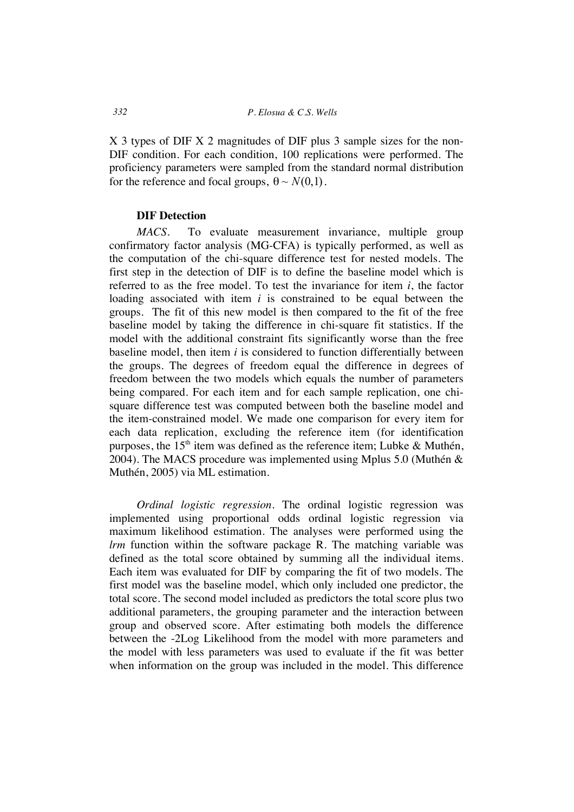X 3 types of DIF X 2 magnitudes of DIF plus 3 sample sizes for the non-DIF condition. For each condition, 100 replications were performed. The proficiency parameters were sampled from the standard normal distribution for the reference and focal groups,  $\theta \sim N(0,1)$ .

#### **DIF Detection**

*MACS*. To evaluate measurement invariance, multiple group confirmatory factor analysis (MG-CFA) is typically performed, as well as the computation of the chi-square difference test for nested models. The first step in the detection of DIF is to define the baseline model which is referred to as the free model. To test the invariance for item *i*, the factor loading associated with item *i* is constrained to be equal between the groups. The fit of this new model is then compared to the fit of the free baseline model by taking the difference in chi-square fit statistics. If the model with the additional constraint fits significantly worse than the free baseline model, then item *i* is considered to function differentially between the groups. The degrees of freedom equal the difference in degrees of freedom between the two models which equals the number of parameters being compared. For each item and for each sample replication, one chisquare difference test was computed between both the baseline model and the item-constrained model. We made one comparison for every item for each data replication, excluding the reference item (for identification purposes, the  $15<sup>th</sup>$  item was defined as the reference item; Lubke & Muthén, 2004). The MACS procedure was implemented using Mplus 5.0 (Muthén & Muthén, 2005) via ML estimation.

*Ordinal logistic regression.* The ordinal logistic regression was implemented using proportional odds ordinal logistic regression via maximum likelihood estimation. The analyses were performed using the *lrm* function within the software package R. The matching variable was defined as the total score obtained by summing all the individual items. Each item was evaluated for DIF by comparing the fit of two models. The first model was the baseline model, which only included one predictor, the total score. The second model included as predictors the total score plus two additional parameters, the grouping parameter and the interaction between group and observed score. After estimating both models the difference between the -2Log Likelihood from the model with more parameters and the model with less parameters was used to evaluate if the fit was better when information on the group was included in the model. This difference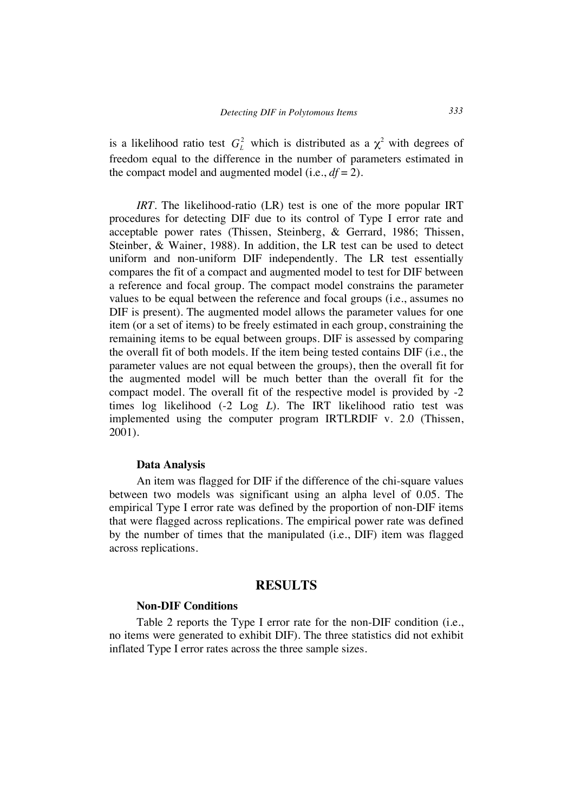is a likelihood ratio test  $G<sub>i</sub><sup>2</sup>$  which is distributed as a  $\chi<sup>2</sup>$  with degrees of freedom equal to the difference in the number of parameters estimated in the compact model and augmented model (i.e.,  $df = 2$ ).

*IRT*. The likelihood-ratio (LR) test is one of the more popular IRT procedures for detecting DIF due to its control of Type I error rate and acceptable power rates (Thissen, Steinberg, & Gerrard, 1986; Thissen, Steinber, & Wainer, 1988). In addition, the LR test can be used to detect uniform and non-uniform DIF independently. The LR test essentially compares the fit of a compact and augmented model to test for DIF between a reference and focal group. The compact model constrains the parameter values to be equal between the reference and focal groups (i.e., assumes no DIF is present). The augmented model allows the parameter values for one item (or a set of items) to be freely estimated in each group, constraining the remaining items to be equal between groups. DIF is assessed by comparing the overall fit of both models. If the item being tested contains DIF (i.e., the parameter values are not equal between the groups), then the overall fit for the augmented model will be much better than the overall fit for the compact model. The overall fit of the respective model is provided by -2 times log likelihood (-2 Log *L*). The IRT likelihood ratio test was implemented using the computer program IRTLRDIF v. 2.0 (Thissen, 2001).

#### **Data Analysis**

An item was flagged for DIF if the difference of the chi-square values between two models was significant using an alpha level of 0.05. The empirical Type I error rate was defined by the proportion of non-DIF items that were flagged across replications. The empirical power rate was defined by the number of times that the manipulated (i.e., DIF) item was flagged across replications.

## **RESULTS**

#### **Non-DIF Conditions**

Table 2 reports the Type I error rate for the non-DIF condition (i.e., no items were generated to exhibit DIF). The three statistics did not exhibit inflated Type I error rates across the three sample sizes.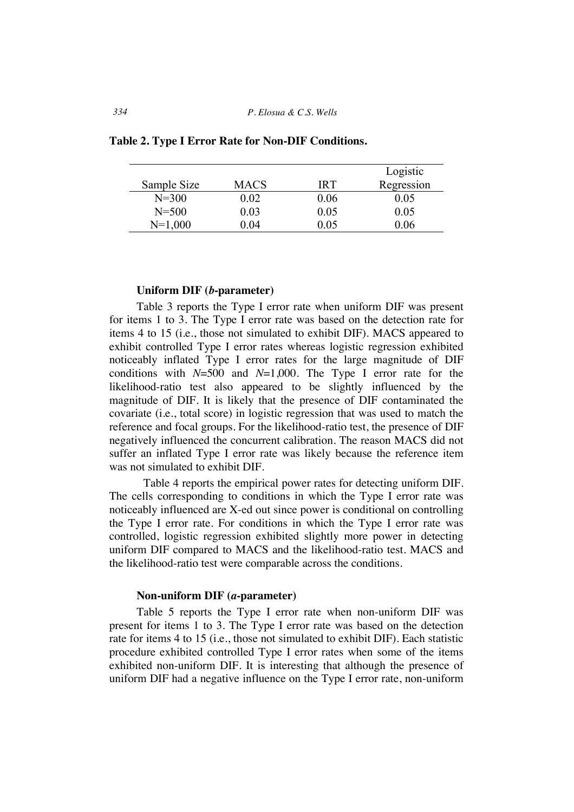*334 P. Elosua & C.S. Wells*

|             |             |      | Logistic   |
|-------------|-------------|------|------------|
| Sample Size | <b>MACS</b> | IR T | Regression |
| $N = 300$   | 0 02        | 0.06 | 0.05       |
| $N = 500$   | 0.03        | 0.05 | 0.05       |
| $N=1,000$   | 0 04        | 06   | 106        |

**Table 2. Type I Error Rate for Non-DIF Conditions.**

#### **Uniform DIF (***b***-parameter)**

Table 3 reports the Type I error rate when uniform DIF was present for items 1 to 3. The Type I error rate was based on the detection rate for items 4 to 15 (i.e., those not simulated to exhibit DIF). MACS appeared to exhibit controlled Type I error rates whereas logistic regression exhibited noticeably inflated Type I error rates for the large magnitude of DIF conditions with *N*=500 and *N*=1,000. The Type I error rate for the likelihood-ratio test also appeared to be slightly influenced by the magnitude of DIF. It is likely that the presence of DIF contaminated the covariate (i.e., total score) in logistic regression that was used to match the reference and focal groups. For the likelihood-ratio test, the presence of DIF negatively influenced the concurrent calibration. The reason MACS did not suffer an inflated Type I error rate was likely because the reference item was not simulated to exhibit DIF.

Table 4 reports the empirical power rates for detecting uniform DIF. The cells corresponding to conditions in which the Type I error rate was noticeably influenced are X-ed out since power is conditional on controlling the Type I error rate. For conditions in which the Type I error rate was controlled, logistic regression exhibited slightly more power in detecting uniform DIF compared to MACS and the likelihood-ratio test. MACS and the likelihood-ratio test were comparable across the conditions.

#### **Non-uniform DIF (***a***-parameter)**

Table 5 reports the Type I error rate when non-uniform DIF was present for items 1 to 3. The Type I error rate was based on the detection rate for items 4 to 15 (i.e., those not simulated to exhibit DIF). Each statistic procedure exhibited controlled Type I error rates when some of the items exhibited non-uniform DIF. It is interesting that although the presence of uniform DIF had a negative influence on the Type I error rate, non-uniform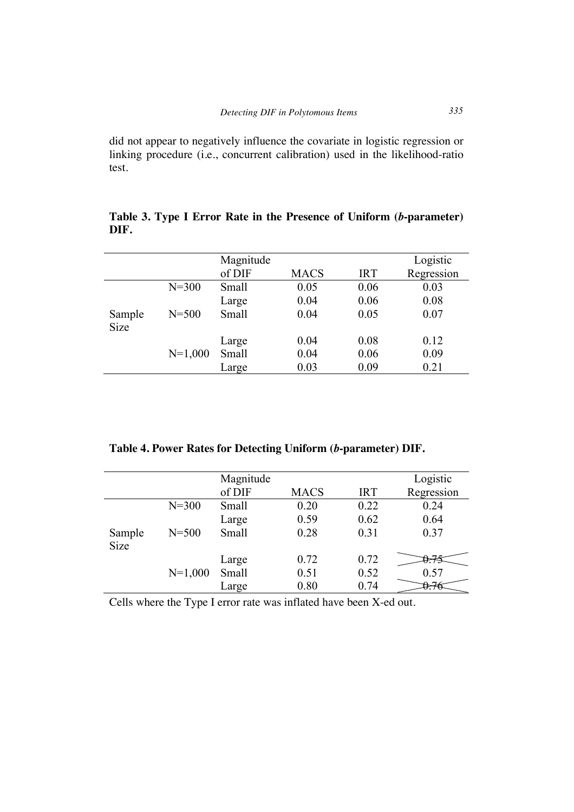did not appear to negatively influence the covariate in logistic regression or linking procedure (i.e., concurrent calibration) used in the likelihood-ratio test.

|        |           | Magnitude |             |            | Logistic   |
|--------|-----------|-----------|-------------|------------|------------|
|        |           | of DIF    | <b>MACS</b> | <b>IRT</b> | Regression |
|        | $N = 300$ | Small     | 0.05        | 0.06       | 0.03       |
|        |           | Large     | 0.04        | 0.06       | 0.08       |
| Sample | $N = 500$ | Small     | 0.04        | 0.05       | 0.07       |
| Size   |           |           |             |            |            |
|        |           | Large     | 0.04        | 0.08       | 0.12       |
|        | $N=1,000$ | Small     | 0.04        | 0.06       | 0.09       |
|        |           | Large     | 0.03        | 0.09       | 0.21       |

**Table 3. Type I Error Rate in the Presence of Uniform (***b***-parameter) DIF.**

**Table 4. Power Rates for Detecting Uniform (***b***-parameter) DIF.**

|        |           | Magnitude |             |            | Logistic   |
|--------|-----------|-----------|-------------|------------|------------|
|        |           | of DIF    | <b>MACS</b> | <b>IRT</b> | Regression |
|        | $N = 300$ | Small     | 0.20        | 0.22       | 0.24       |
|        |           | Large     | 0.59        | 0.62       | 0.64       |
| Sample | $N = 500$ | Small     | 0.28        | 0.31       | 0.37       |
| Size   |           |           |             |            |            |
|        |           | Large     | 0.72        | 0.72       |            |
|        | $N=1,000$ | Small     | 0.51        | 0.52       | 0.57       |
|        |           | Large     | 0.80        | 0.74       |            |

Cells where the Type I error rate was inflated have been X-ed out.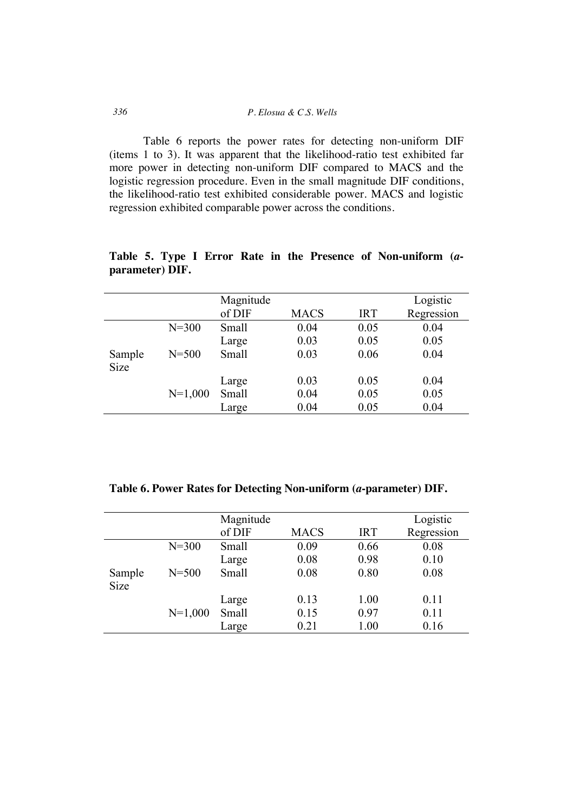| 336 | P. Elosua & C.S. Wells |
|-----|------------------------|
|     |                        |

Table 6 reports the power rates for detecting non-uniform DIF (items 1 to 3). It was apparent that the likelihood-ratio test exhibited far more power in detecting non-uniform DIF compared to MACS and the logistic regression procedure. Even in the small magnitude DIF conditions, the likelihood-ratio test exhibited considerable power. MACS and logistic regression exhibited comparable power across the conditions.

|             |           | Magnitude |             |            | Logistic   |
|-------------|-----------|-----------|-------------|------------|------------|
|             |           | of DIF    | <b>MACS</b> | <b>IRT</b> | Regression |
|             | $N = 300$ | Small     | 0.04        | 0.05       | 0.04       |
|             |           | Large     | 0.03        | 0.05       | 0.05       |
| Sample      | $N = 500$ | Small     | 0.03        | 0.06       | 0.04       |
| <b>Size</b> |           |           |             |            |            |
|             |           | Large     | 0.03        | 0.05       | 0.04       |
|             | $N=1,000$ | Small     | 0.04        | 0.05       | 0.05       |
|             |           | Large     | 0.04        | 0.05       | 0.04       |

**Table 5. Type I Error Rate in the Presence of Non-uniform (***a***parameter) DIF.**

**Table 6. Power Rates for Detecting Non-uniform (***a***-parameter) DIF.**

|           | Magnitude |             |            | Logistic   |
|-----------|-----------|-------------|------------|------------|
|           | of DIF    | <b>MACS</b> | <b>IRT</b> | Regression |
| $N = 300$ | Small     | 0.09        | 0.66       | 0.08       |
|           | Large     | 0.08        | 0.98       | 0.10       |
| $N = 500$ | Small     | 0.08        | 0.80       | 0.08       |
|           |           |             |            |            |
|           | Large     | 0.13        | 1.00       | 0.11       |
| $N=1,000$ | Small     | 0.15        | 0.97       | 0.11       |
|           | Large     | 0.21        | 1.00       | 0.16       |
|           |           |             |            |            |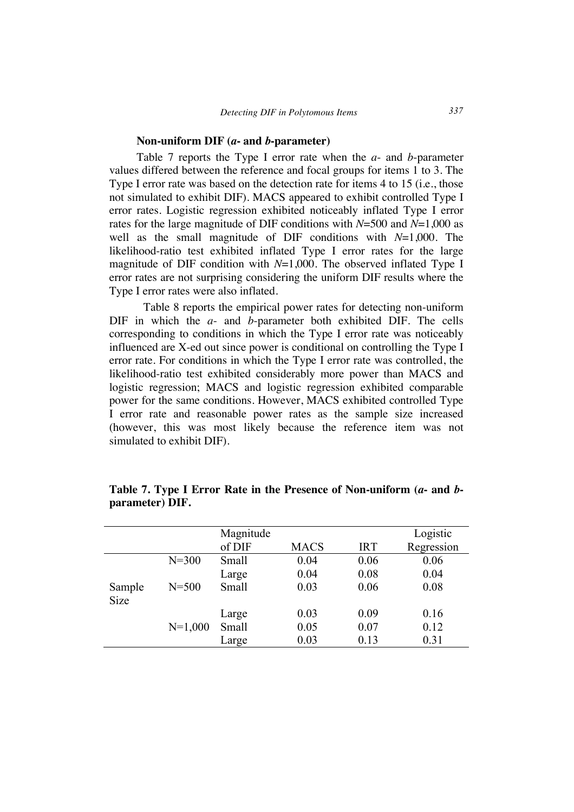#### **Non-uniform DIF (***a***- and** *b***-parameter)**

Table 7 reports the Type I error rate when the *a*- and *b*-parameter values differed between the reference and focal groups for items 1 to 3. The Type I error rate was based on the detection rate for items 4 to 15 (i.e., those not simulated to exhibit DIF). MACS appeared to exhibit controlled Type I error rates. Logistic regression exhibited noticeably inflated Type I error rates for the large magnitude of DIF conditions with *N*=500 and *N*=1,000 as well as the small magnitude of DIF conditions with *N*=1,000. The likelihood-ratio test exhibited inflated Type I error rates for the large magnitude of DIF condition with *N*=1,000. The observed inflated Type I error rates are not surprising considering the uniform DIF results where the Type I error rates were also inflated.

Table 8 reports the empirical power rates for detecting non-uniform DIF in which the *a*- and *b*-parameter both exhibited DIF. The cells corresponding to conditions in which the Type I error rate was noticeably influenced are X-ed out since power is conditional on controlling the Type I error rate. For conditions in which the Type I error rate was controlled, the likelihood-ratio test exhibited considerably more power than MACS and logistic regression; MACS and logistic regression exhibited comparable power for the same conditions. However, MACS exhibited controlled Type I error rate and reasonable power rates as the sample size increased (however, this was most likely because the reference item was not simulated to exhibit DIF).

|             |           | Magnitude |             |            | Logistic   |
|-------------|-----------|-----------|-------------|------------|------------|
|             |           | of DIF    | <b>MACS</b> | <b>IRT</b> | Regression |
|             | $N = 300$ | Small     | 0.04        | 0.06       | 0.06       |
|             |           | Large     | 0.04        | 0.08       | 0.04       |
| Sample      | $N = 500$ | Small     | 0.03        | 0.06       | 0.08       |
| <b>Size</b> |           |           |             |            |            |
|             |           | Large     | 0.03        | 0.09       | 0.16       |
|             | $N=1,000$ | Small     | 0.05        | 0.07       | 0.12       |
|             |           | Large     | 0.03        | 0.13       | 0.31       |

**Table 7. Type I Error Rate in the Presence of Non-uniform (***a***- and** *b***parameter) DIF.**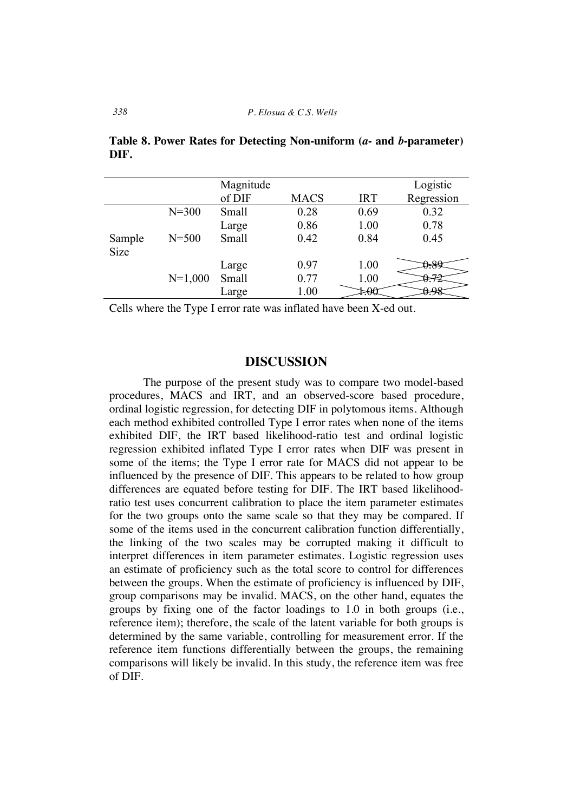|             |           | Magnitude |             |            | Logistic   |
|-------------|-----------|-----------|-------------|------------|------------|
|             |           | of DIF    | <b>MACS</b> | <b>IRT</b> | Regression |
|             | $N = 300$ | Small     | 0.28        | 0.69       | 0.32       |
|             |           | Large     | 0.86        | 1.00       | 0.78       |
| Sample      | $N = 500$ | Small     | 0.42        | 0.84       | 0.45       |
| <b>Size</b> |           |           |             |            |            |
|             |           | Large     | 0.97        | 1.00       | $\epsilon$ |
|             | $N=1,000$ | Small     | 0.77        | 1.00       |            |
|             |           | Large     | 1.00        | ્ભ         |            |

**Table 8. Power Rates for Detecting Non-uniform (***a***- and** *b***-parameter) DIF.**

Cells where the Type I error rate was inflated have been X-ed out.

## **DISCUSSION**

The purpose of the present study was to compare two model-based procedures, MACS and IRT, and an observed-score based procedure, ordinal logistic regression, for detecting DIF in polytomous items. Although each method exhibited controlled Type I error rates when none of the items exhibited DIF, the IRT based likelihood-ratio test and ordinal logistic regression exhibited inflated Type I error rates when DIF was present in some of the items; the Type I error rate for MACS did not appear to be influenced by the presence of DIF. This appears to be related to how group differences are equated before testing for DIF. The IRT based likelihoodratio test uses concurrent calibration to place the item parameter estimates for the two groups onto the same scale so that they may be compared. If some of the items used in the concurrent calibration function differentially, the linking of the two scales may be corrupted making it difficult to interpret differences in item parameter estimates. Logistic regression uses an estimate of proficiency such as the total score to control for differences between the groups. When the estimate of proficiency is influenced by DIF, group comparisons may be invalid. MACS, on the other hand, equates the groups by fixing one of the factor loadings to 1.0 in both groups (i.e., reference item); therefore, the scale of the latent variable for both groups is determined by the same variable, controlling for measurement error. If the reference item functions differentially between the groups, the remaining comparisons will likely be invalid. In this study, the reference item was free of DIF.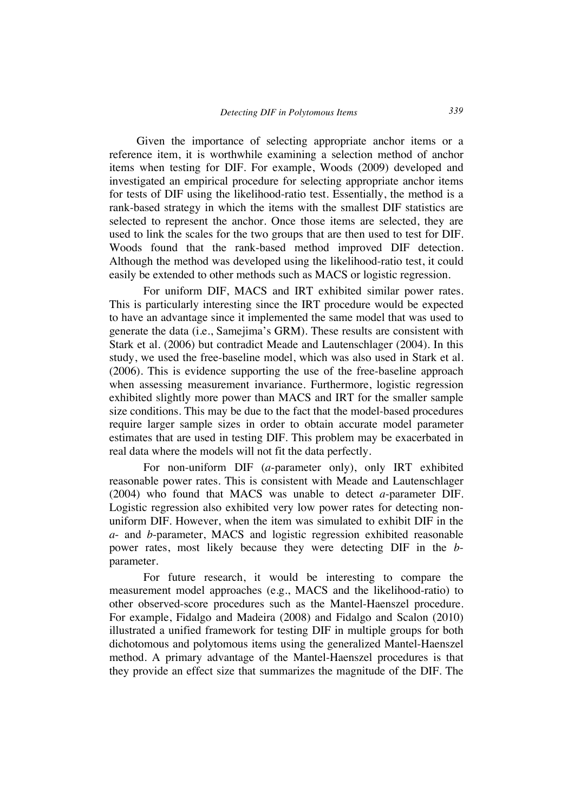Given the importance of selecting appropriate anchor items or a reference item, it is worthwhile examining a selection method of anchor items when testing for DIF. For example, Woods (2009) developed and investigated an empirical procedure for selecting appropriate anchor items for tests of DIF using the likelihood-ratio test. Essentially, the method is a rank-based strategy in which the items with the smallest DIF statistics are selected to represent the anchor. Once those items are selected, they are used to link the scales for the two groups that are then used to test for DIF. Woods found that the rank-based method improved DIF detection. Although the method was developed using the likelihood-ratio test, it could easily be extended to other methods such as MACS or logistic regression.

For uniform DIF, MACS and IRT exhibited similar power rates. This is particularly interesting since the IRT procedure would be expected to have an advantage since it implemented the same model that was used to generate the data (i.e., Samejima's GRM). These results are consistent with Stark et al. (2006) but contradict Meade and Lautenschlager (2004). In this study, we used the free-baseline model, which was also used in Stark et al. (2006). This is evidence supporting the use of the free-baseline approach when assessing measurement invariance. Furthermore, logistic regression exhibited slightly more power than MACS and IRT for the smaller sample size conditions. This may be due to the fact that the model-based procedures require larger sample sizes in order to obtain accurate model parameter estimates that are used in testing DIF. This problem may be exacerbated in real data where the models will not fit the data perfectly.

For non-uniform DIF (*a*-parameter only), only IRT exhibited reasonable power rates. This is consistent with Meade and Lautenschlager (2004) who found that MACS was unable to detect *a*-parameter DIF. Logistic regression also exhibited very low power rates for detecting nonuniform DIF. However, when the item was simulated to exhibit DIF in the *a*- and *b*-parameter, MACS and logistic regression exhibited reasonable power rates, most likely because they were detecting DIF in the *b*parameter.

For future research, it would be interesting to compare the measurement model approaches (e.g., MACS and the likelihood-ratio) to other observed-score procedures such as the Mantel-Haenszel procedure. For example, Fidalgo and Madeira (2008) and Fidalgo and Scalon (2010) illustrated a unified framework for testing DIF in multiple groups for both dichotomous and polytomous items using the generalized Mantel-Haenszel method. A primary advantage of the Mantel-Haenszel procedures is that they provide an effect size that summarizes the magnitude of the DIF. The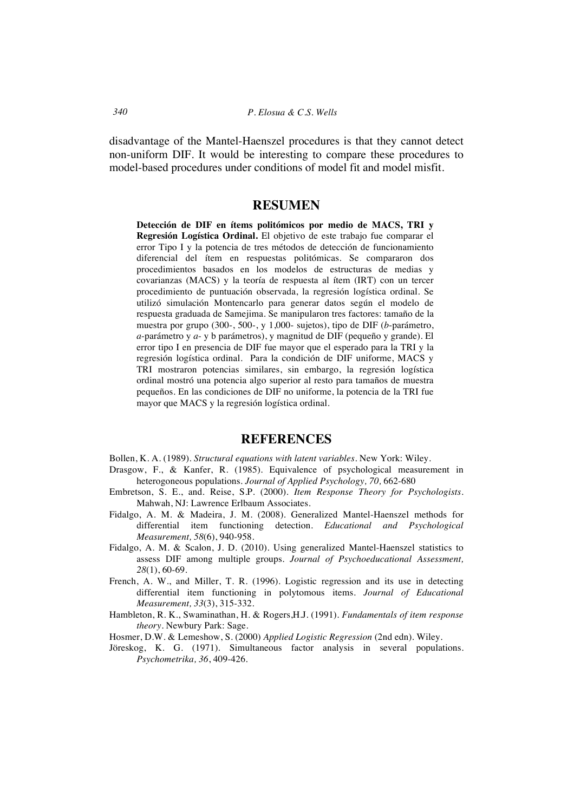disadvantage of the Mantel-Haenszel procedures is that they cannot detect non-uniform DIF. It would be interesting to compare these procedures to model-based procedures under conditions of model fit and model misfit.

## **RESUMEN**

**Detección de DIF en ítems politómicos por medio de MACS, TRI y Regresión Logística Ordinal.** El objetivo de este trabajo fue comparar el error Tipo I y la potencia de tres métodos de detección de funcionamiento diferencial del ítem en respuestas politómicas. Se compararon dos procedimientos basados en los modelos de estructuras de medias y covarianzas (MACS) y la teoría de respuesta al ítem (IRT) con un tercer procedimiento de puntuación observada, la regresión logística ordinal. Se utilizó simulación Montencarlo para generar datos según el modelo de respuesta graduada de Samejima. Se manipularon tres factores: tamaño de la muestra por grupo (300-, 500-, y 1,000- sujetos), tipo de DIF (*b*-parámetro, *a*-parámetro y *a*- y b parámetros), y magnitud de DIF (pequeño y grande). El error tipo I en presencia de DIF fue mayor que el esperado para la TRI y la regresión logística ordinal. Para la condición de DIF uniforme, MACS y TRI mostraron potencias similares, sin embargo, la regresión logística ordinal mostró una potencia algo superior al resto para tamaños de muestra pequeños. En las condiciones de DIF no uniforme, la potencia de la TRI fue mayor que MACS y la regresión logística ordinal.

## **REFERENCES**

Bollen, K. A. (1989). *Structural equations with latent variables*. New York: Wiley.

- Drasgow, F., & Kanfer, R. (1985). Equivalence of psychological measurement in heterogoneous populations. *Journal of Applied Psychology, 70,* 662-680
- Embretson, S. E., and. Reise, S.P. (2000). *Item Response Theory for Psychologists*. Mahwah, NJ: Lawrence Erlbaum Associates.
- Fidalgo, A. M. & Madeira, J. M. (2008). Generalized Mantel-Haenszel methods for differential item functioning detection. *Educational and Psychological Measurement, 58*(6), 940-958.
- Fidalgo, A. M. & Scalon, J. D. (2010). Using generalized Mantel-Haenszel statistics to assess DIF among multiple groups. *Journal of Psychoeducational Assessment, 28*(1), 60-69.
- French, A. W., and Miller, T. R. (1996). Logistic regression and its use in detecting differential item functioning in polytomous items. *Journal of Educational Measurement, 33*(3), 315-332.
- Hambleton, R. K., Swaminathan, H. & Rogers,H.J. (1991). *Fundamentals of item response theory.* Newbury Park: Sage.
- Hosmer, D.W. & Lemeshow, S. (2000) *Applied Logistic Regression* (2nd edn). Wiley.
- Jöreskog, K. G. (1971). Simultaneous factor analysis in several populations. *Psychometrika, 36*, 409-426.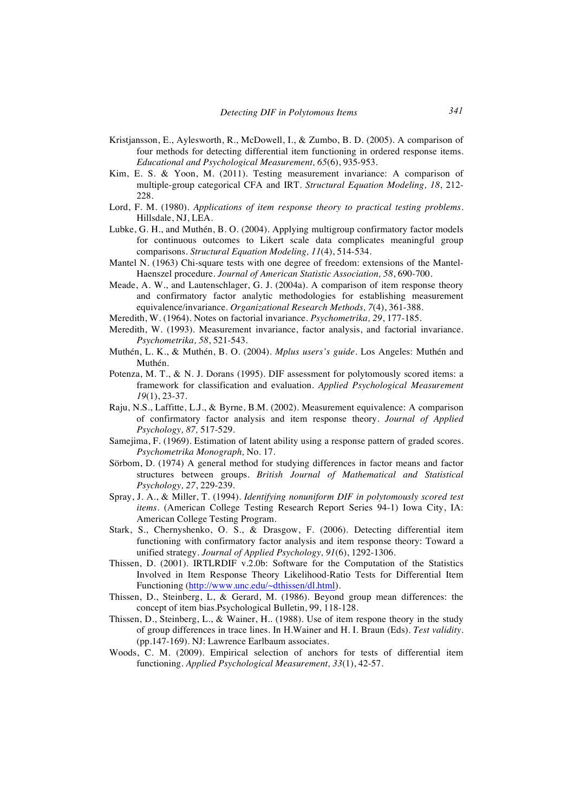- Kristjansson, E., Aylesworth, R., McDowell, I., & Zumbo, B. D. (2005). A comparison of four methods for detecting differential item functioning in ordered response items. *Educational and Psychological Measurement, 65*(6), 935-953.
- Kim, E. S. & Yoon, M. (2011). Testing measurement invariance: A comparison of multiple-group categorical CFA and IRT. *Structural Equation Modeling, 18*, 212- 228
- Lord, F. M. (1980). *Applications of item response theory to practical testing problems*. Hillsdale, NJ, LEA.
- Lubke, G. H., and Muthén, B. O. (2004). Applying multigroup confirmatory factor models for continuous outcomes to Likert scale data complicates meaningful group comparisons. *Structural Equation Modeling, 11*(4), 514-534.
- Mantel N. (1963) Chi-square tests with one degree of freedom: extensions of the Mantel-Haenszel procedure. *Journal of American Statistic Association, 58*, 690-700.
- Meade, A. W., and Lautenschlager, G. J. (2004a). A comparison of item response theory and confirmatory factor analytic methodologies for establishing measurement equivalence/invariance. *Organizational Research Methods, 7*(4), 361-388.
- Meredith, W. (1964). Notes on factorial invariance. *Psychometrika, 29*, 177-185.
- Meredith, W. (1993). Measurement invariance, factor analysis, and factorial invariance. *Psychometrika, 58*, 521-543.
- Muthén, L. K., & Muthén, B. O. (2004). *Mplus users's guide*. Los Angeles: Muthén and Muthén.
- Potenza, M. T., & N. J. Dorans (1995). DIF assessment for polytomously scored items: a framework for classification and evaluation. *Applied Psychological Measurement 19*(1), 23-37.
- Raju, N.S., Laffitte, L.J., & Byrne, B.M. (2002). Measurement equivalence: A comparison of confirmatory factor analysis and item response theory. *Journal of Applied Psychology, 87,* 517-529.
- Samejima, F. (1969). Estimation of latent ability using a response pattern of graded scores. *Psychometrika Monograph,* No. 17.
- Sörbom, D. (1974) A general method for studying differences in factor means and factor structures between groups. *British Journal of Mathematical and Statistical Psychology, 27*, 229-239.
- Spray, J. A., & Miller, T. (1994). *Identifying nonuniform DIF in polytomously scored test items.* (American College Testing Research Report Series 94-1) Iowa City, IA: American College Testing Program.
- Stark, S., Chernyshenko, O. S., & Drasgow, F. (2006). Detecting differential item functioning with confirmatory factor analysis and item response theory: Toward a unified strategy. *Journal of Applied Psychology, 91*(6), 1292-1306.
- Thissen, D. (2001). IRTLRDIF v.2.0b: Software for the Computation of the Statistics Involved in Item Response Theory Likelihood-Ratio Tests for Differential Item Functioning (http://www.unc.edu/~dthissen/dl.html).
- Thissen, D., Steinberg, L, & Gerard, M. (1986). Beyond group mean differences: the concept of item bias.Psychological Bulletin, 99, 118-128.
- Thissen, D., Steinberg, L., & Wainer, H.. (1988). Use of item respone theory in the study of group differences in trace lines. In H.Wainer and H. I. Braun (Eds). *Test validity*. (pp.147-169). NJ: Lawrence Earlbaum associates.
- Woods, C. M. (2009). Empirical selection of anchors for tests of differential item functioning. *Applied Psychological Measurement, 33*(1), 42-57.